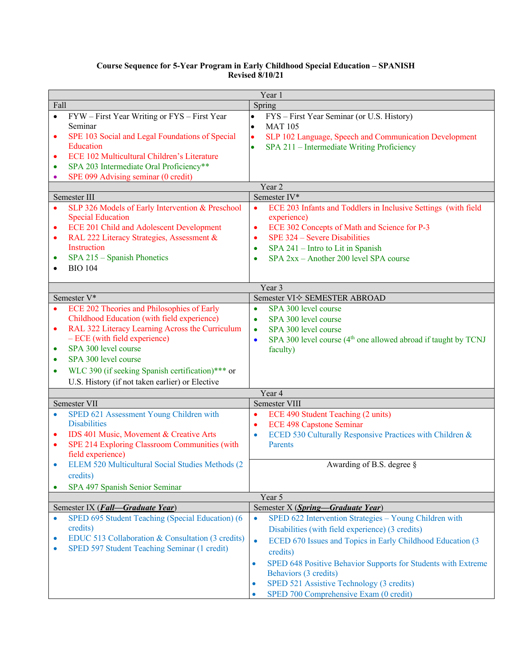## **Course Sequence for 5-Year Program in Early Childhood Special Education – SPANISH Revised 8/10/21**

| Year 1                 |                                                                                                                          |                                                                                                                                                               |  |
|------------------------|--------------------------------------------------------------------------------------------------------------------------|---------------------------------------------------------------------------------------------------------------------------------------------------------------|--|
| Fall                   |                                                                                                                          | Spring                                                                                                                                                        |  |
| $\bullet$<br>$\bullet$ | FYW – First Year Writing or FYS – First Year<br>Seminar<br>SPE 103 Social and Legal Foundations of Special               | FYS - First Year Seminar (or U.S. History)<br>$\bullet$<br>$\bullet$<br><b>MAT 105</b><br>SLP 102 Language, Speech and Communication Development<br>$\bullet$ |  |
|                        | Education                                                                                                                | SPA 211 - Intermediate Writing Proficiency                                                                                                                    |  |
|                        | ECE 102 Multicultural Children's Literature                                                                              |                                                                                                                                                               |  |
| $\bullet$              | SPA 203 Intermediate Oral Proficiency**                                                                                  |                                                                                                                                                               |  |
|                        | SPE 099 Advising seminar (0 credit)                                                                                      |                                                                                                                                                               |  |
| Year 2                 |                                                                                                                          |                                                                                                                                                               |  |
|                        | Semester III                                                                                                             | Semester IV*                                                                                                                                                  |  |
| ٠                      | SLP 326 Models of Early Intervention & Preschool<br><b>Special Education</b><br>ECE 201 Child and Adolescent Development | ECE 203 Infants and Toddlers in Inclusive Settings (with field<br>$\bullet$<br>experience)<br>ECE 302 Concepts of Math and Science for P-3<br>$\bullet$       |  |
| ٠                      | RAL 222 Literacy Strategies, Assessment &                                                                                | SPE 324 – Severe Disabilities<br>٠                                                                                                                            |  |
|                        | Instruction                                                                                                              | SPA 241 - Intro to Lit in Spanish<br>٠                                                                                                                        |  |
| ٠                      | SPA 215 - Spanish Phonetics                                                                                              | $SPA 2xx - Another 200 level SPA course$<br>$\bullet$                                                                                                         |  |
| $\bullet$              | <b>BIO 104</b>                                                                                                           |                                                                                                                                                               |  |
|                        |                                                                                                                          | Year 3                                                                                                                                                        |  |
|                        | Semester V*                                                                                                              | Semester VI < SEMESTER ABROAD                                                                                                                                 |  |
| $\bullet$              | ECE 202 Theories and Philosophies of Early                                                                               | SPA 300 level course<br>$\bullet$                                                                                                                             |  |
|                        | Childhood Education (with field experience)                                                                              | SPA 300 level course<br>$\bullet$                                                                                                                             |  |
| ٠                      | RAL 322 Literacy Learning Across the Curriculum                                                                          | SPA 300 level course<br>٠                                                                                                                                     |  |
|                        | - ECE (with field experience)                                                                                            | SPA 300 level course (4 <sup>th</sup> one allowed abroad if taught by TCNJ<br>$\bullet$                                                                       |  |
| $\bullet$              | SPA 300 level course                                                                                                     | faculty)                                                                                                                                                      |  |
| $\bullet$              | SPA 300 level course                                                                                                     |                                                                                                                                                               |  |
| $\bullet$              | WLC 390 (if seeking Spanish certification)*** or                                                                         |                                                                                                                                                               |  |
|                        | U.S. History (if not taken earlier) or Elective                                                                          |                                                                                                                                                               |  |
| Year 4                 |                                                                                                                          |                                                                                                                                                               |  |
| Semester VII           |                                                                                                                          | Semester VIII                                                                                                                                                 |  |
|                        | SPED 621 Assessment Young Children with                                                                                  | ECE 490 Student Teaching (2 units)<br>$\bullet$                                                                                                               |  |
|                        | <b>Disabilities</b>                                                                                                      | <b>ECE 498 Capstone Seminar</b><br>$\bullet$                                                                                                                  |  |
| ٠                      | IDS 401 Music, Movement & Creative Arts                                                                                  | ECED 530 Culturally Responsive Practices with Children &<br>$\bullet$                                                                                         |  |
|                        | SPE 214 Exploring Classroom Communities (with                                                                            | Parents                                                                                                                                                       |  |
|                        | field experience)                                                                                                        |                                                                                                                                                               |  |
|                        | ELEM 520 Multicultural Social Studies Methods (2<br>credits)                                                             | Awarding of B.S. degree §                                                                                                                                     |  |
|                        | SPA 497 Spanish Senior Seminar                                                                                           |                                                                                                                                                               |  |
|                        |                                                                                                                          | Year 5                                                                                                                                                        |  |
|                        | Semester IX (Fall-Graduate Year)                                                                                         | Semester X (Spring-Graduate Year)                                                                                                                             |  |
| $\bullet$              | SPED 695 Student Teaching (Special Education) (6                                                                         | SPED 622 Intervention Strategies - Young Children with<br>$\bullet$                                                                                           |  |
|                        | credits)                                                                                                                 | Disabilities (with field experience) (3 credits)                                                                                                              |  |
| $\bullet$<br>$\bullet$ | EDUC 513 Collaboration & Consultation (3 credits)<br>SPED 597 Student Teaching Seminar (1 credit)                        | ECED 670 Issues and Topics in Early Childhood Education (3<br>$\bullet$<br>credits)                                                                           |  |
|                        |                                                                                                                          | SPED 648 Positive Behavior Supports for Students with Extreme<br>$\bullet$                                                                                    |  |
|                        |                                                                                                                          | Behaviors (3 credits)                                                                                                                                         |  |
|                        |                                                                                                                          | SPED 521 Assistive Technology (3 credits)<br>$\bullet$                                                                                                        |  |
|                        |                                                                                                                          | SPED 700 Comprehensive Exam (0 credit)<br>$\bullet$                                                                                                           |  |